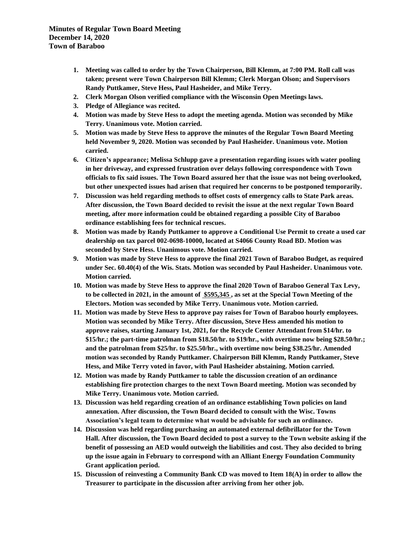**Minutes of Regular Town Board Meeting December 14, 2020 Town of Baraboo**

- **1. Meeting was called to order by the Town Chairperson, Bill Klemm, at 7:00 PM. Roll call was taken; present were Town Chairperson Bill Klemm; Clerk Morgan Olson; and Supervisors Randy Puttkamer, Steve Hess, Paul Hasheider, and Mike Terry.**
- **2. Clerk Morgan Olson verified compliance with the Wisconsin Open Meetings laws.**
- **3. Pledge of Allegiance was recited.**
- **4. Motion was made by Steve Hess to adopt the meeting agenda. Motion was seconded by Mike Terry. Unanimous vote. Motion carried.**
- **5. Motion was made by Steve Hess to approve the minutes of the Regular Town Board Meeting held November 9, 2020. Motion was seconded by Paul Hasheider. Unanimous vote. Motion carried.**
- **6. Citizen's appearance; Melissa Schlupp gave a presentation regarding issues with water pooling in her driveway, and expressed frustration over delays following correspondence with Town officials to fix said issues. The Town Board assured her that the issue was not being overlooked, but other unexpected issues had arisen that required her concerns to be postponed temporarily.**
- **7. Discussion was held regarding methods to offset costs of emergency calls to State Park areas. After discussion, the Town Board decided to revisit the issue at the next regular Town Board meeting, after more information could be obtained regarding a possible City of Baraboo ordinance establishing fees for technical rescues.**
- **8. Motion was made by Randy Puttkamer to approve a Conditional Use Permit to create a used car dealership on tax parcel 002-0698-10000, located at S4066 County Road BD. Motion was seconded by Steve Hess. Unanimous vote. Motion carried.**
- **9. Motion was made by Steve Hess to approve the final 2021 Town of Baraboo Budget, as required under Sec. 60.40(4) of the Wis. Stats. Motion was seconded by Paul Hasheider. Unanimous vote. Motion carried.**
- **10. Motion was made by Steve Hess to approve the final 2020 Town of Baraboo General Tax Levy, to be collected in 2021, in the amount of \$595,345 , as set at the Special Town Meeting of the Electors. Motion was seconded by Mike Terry. Unanimous vote. Motion carried.**
- **11. Motion was made by Steve Hess to approve pay raises for Town of Baraboo hourly employees. Motion was seconded by Mike Terry. After discussion, Steve Hess amended his motion to approve raises, starting January 1st, 2021, for the Recycle Center Attendant from \$14/hr. to \$15/hr.; the part-time patrolman from \$18.50/hr. to \$19/hr., with overtime now being \$28.50/hr.; and the patrolman from \$25/hr. to \$25.50/hr., with overtime now being \$38.25/hr. Amended motion was seconded by Randy Puttkamer. Chairperson Bill Klemm, Randy Puttkamer, Steve Hess, and Mike Terry voted in favor, with Paul Hasheider abstaining. Motion carried.**
- **12. Motion was made by Randy Puttkamer to table the discussion creation of an ordinance establishing fire protection charges to the next Town Board meeting. Motion was seconded by Mike Terry. Unanimous vote. Motion carried.**
- **13. Discussion was held regarding creation of an ordinance establishing Town policies on land annexation. After discussion, the Town Board decided to consult with the Wisc. Towns Association's legal team to determine what would be advisable for such an ordinance.**
- **14. Discussion was held regarding purchasing an automated external defibrillator for the Town Hall. After discussion, the Town Board decided to post a survey to the Town website asking if the benefit of possessing an AED would outweigh the liabilities and cost. They also decided to bring up the issue again in February to correspond with an Alliant Energy Foundation Community Grant application period.**
- **15. Discussion of reinvesting a Community Bank CD was moved to Item 18(A) in order to allow the Treasurer to participate in the discussion after arriving from her other job.**